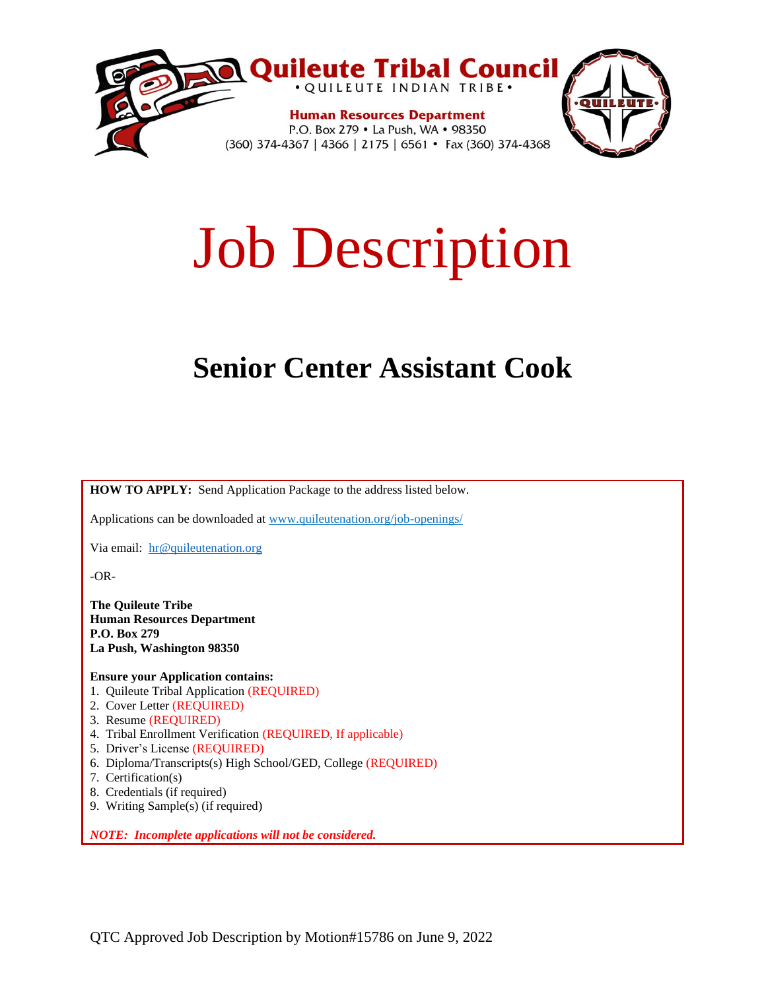

# Job Description

# **Senior Center Assistant Cook**

**HOW TO APPLY:** Send Application Package to the address listed below.

Applications can be downloaded at www.quileutenation.org/job-openings/

Via email: [hr@quileutenation.org](mailto:hr@quileutenation.org)

-OR-

**The Quileute Tribe Human Resources Department P.O. Box 279 La Push, Washington 98350**

**Ensure your Application contains:**

- 1. Quileute Tribal Application (REQUIRED)
- 2. Cover Letter (REQUIRED)
- 3. Resume (REQUIRED)
- 4. Tribal Enrollment Verification (REQUIRED, If applicable)
- 5. Driver's License (REQUIRED)
- 6. Diploma/Transcripts(s) High School/GED, College (REQUIRED)
- 7. Certification(s)
- 8. Credentials (if required)
- 9. Writing Sample(s) (if required)

*NOTE: Incomplete applications will not be considered.*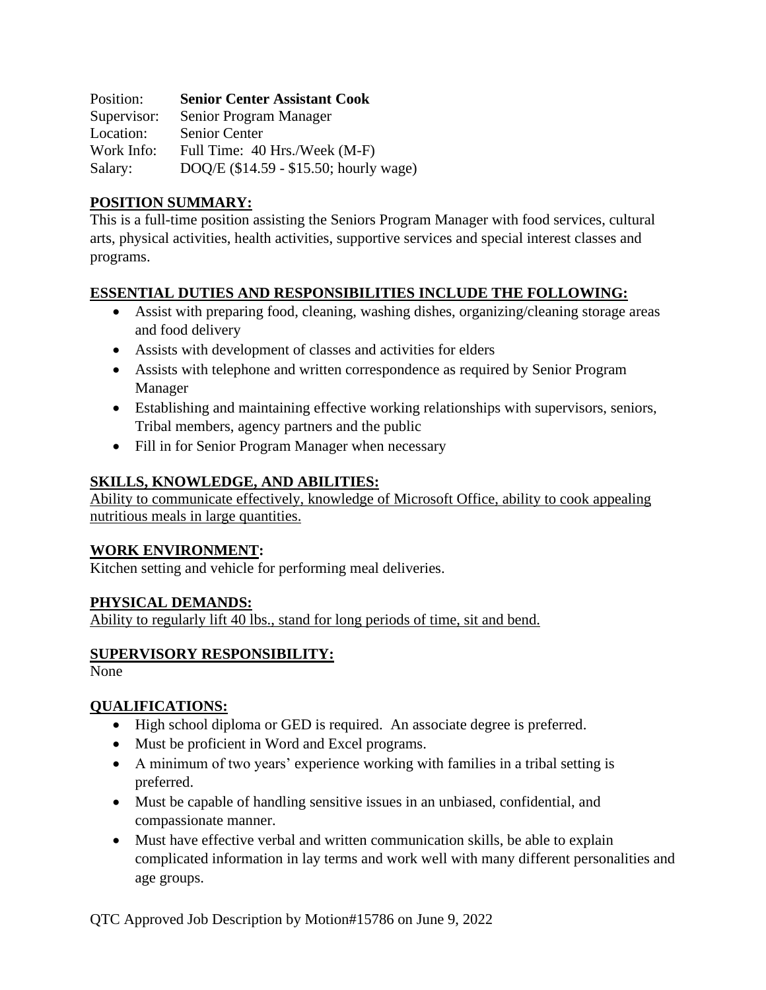Position: **Senior Center Assistant Cook** Supervisor: Senior Program Manager Location: Senior Center Work Info: Full Time: 40 Hrs./Week (M-F) Salary: DOQ/E (\$14.59 - \$15.50; hourly wage)

## **POSITION SUMMARY:**

This is a full-time position assisting the Seniors Program Manager with food services, cultural arts, physical activities, health activities, supportive services and special interest classes and programs.

#### **ESSENTIAL DUTIES AND RESPONSIBILITIES INCLUDE THE FOLLOWING:**

- Assist with preparing food, cleaning, washing dishes, organizing/cleaning storage areas and food delivery
- Assists with development of classes and activities for elders
- Assists with telephone and written correspondence as required by Senior Program Manager
- Establishing and maintaining effective working relationships with supervisors, seniors, Tribal members, agency partners and the public
- Fill in for Senior Program Manager when necessary

### **SKILLS, KNOWLEDGE, AND ABILITIES:**

Ability to communicate effectively, knowledge of Microsoft Office, ability to cook appealing nutritious meals in large quantities.

#### **WORK ENVIRONMENT:**

Kitchen setting and vehicle for performing meal deliveries.

#### **PHYSICAL DEMANDS:**

Ability to regularly lift 40 lbs., stand for long periods of time, sit and bend.

# **SUPERVISORY RESPONSIBILITY:**

None

# **QUALIFICATIONS:**

- High school diploma or GED is required. An associate degree is preferred.
- Must be proficient in Word and Excel programs.
- A minimum of two years' experience working with families in a tribal setting is preferred.
- Must be capable of handling sensitive issues in an unbiased, confidential, and compassionate manner.
- Must have effective verbal and written communication skills, be able to explain complicated information in lay terms and work well with many different personalities and age groups.

QTC Approved Job Description by Motion#15786 on June 9, 2022